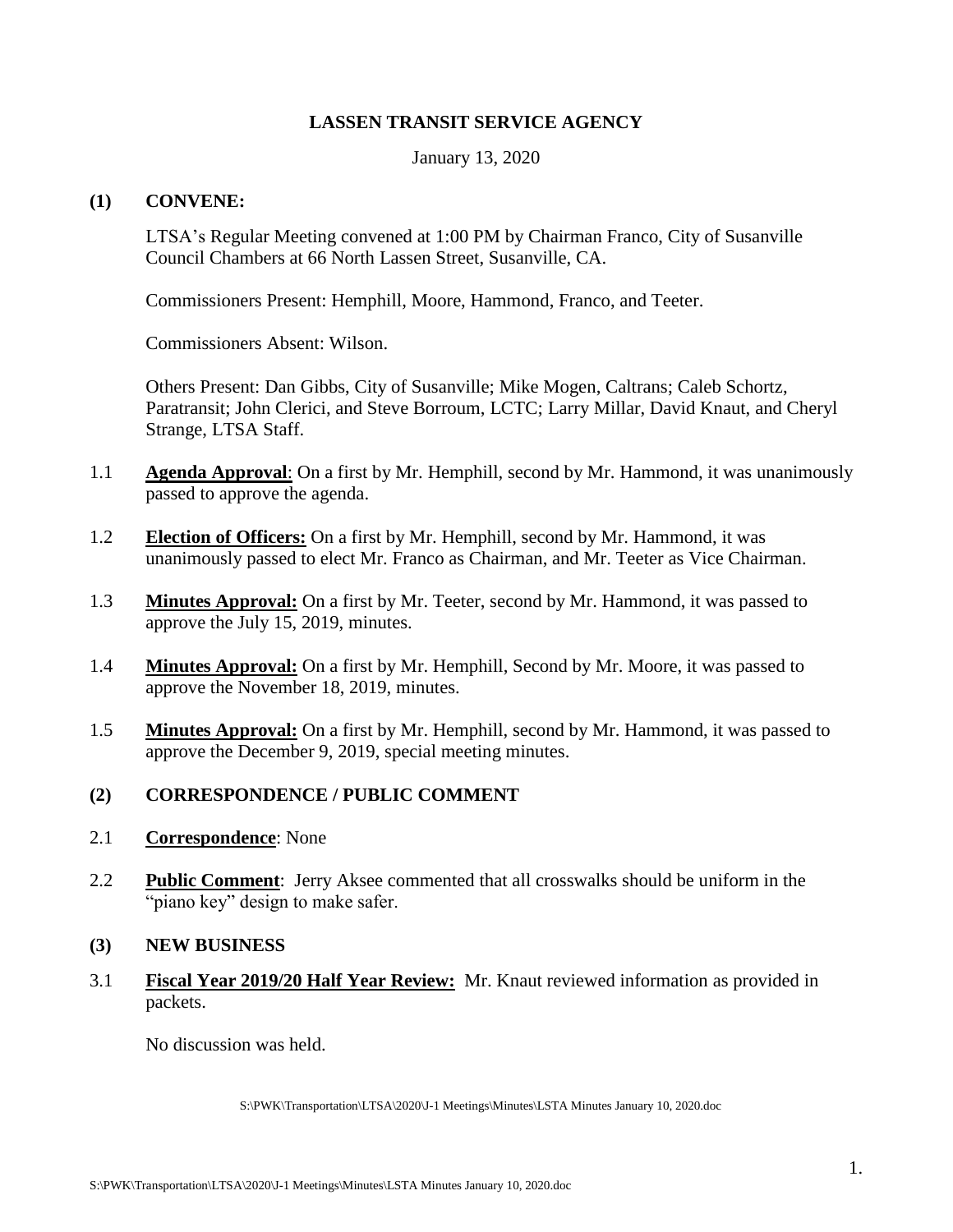## **LASSEN TRANSIT SERVICE AGENCY**

January 13, 2020

## **(1) CONVENE:**

LTSA's Regular Meeting convened at 1:00 PM by Chairman Franco, City of Susanville Council Chambers at 66 North Lassen Street, Susanville, CA.

Commissioners Present: Hemphill, Moore, Hammond, Franco, and Teeter.

Commissioners Absent: Wilson.

Others Present: Dan Gibbs, City of Susanville; Mike Mogen, Caltrans; Caleb Schortz, Paratransit; John Clerici, and Steve Borroum, LCTC; Larry Millar, David Knaut, and Cheryl Strange, LTSA Staff.

- 1.1 **Agenda Approval**: On a first by Mr. Hemphill, second by Mr. Hammond, it was unanimously passed to approve the agenda.
- 1.2 **Election of Officers:** On a first by Mr. Hemphill, second by Mr. Hammond, it was unanimously passed to elect Mr. Franco as Chairman, and Mr. Teeter as Vice Chairman.
- 1.3 **Minutes Approval:** On a first by Mr. Teeter, second by Mr. Hammond, it was passed to approve the July 15, 2019, minutes.
- 1.4 **Minutes Approval:** On a first by Mr. Hemphill, Second by Mr. Moore, it was passed to approve the November 18, 2019, minutes.
- 1.5 **Minutes Approval:** On a first by Mr. Hemphill, second by Mr. Hammond, it was passed to approve the December 9, 2019, special meeting minutes.

## **(2) CORRESPONDENCE / PUBLIC COMMENT**

- 2.1 **Correspondence**: None
- 2.2 **Public Comment**: Jerry Aksee commented that all crosswalks should be uniform in the "piano key" design to make safer.
- **(3) NEW BUSINESS**
- 3.1 **Fiscal Year 2019/20 Half Year Review:** Mr. Knaut reviewed information as provided in packets.

No discussion was held.

S:\PWK\Transportation\LTSA\2020\J-1 Meetings\Minutes\LSTA Minutes January 10, 2020.doc